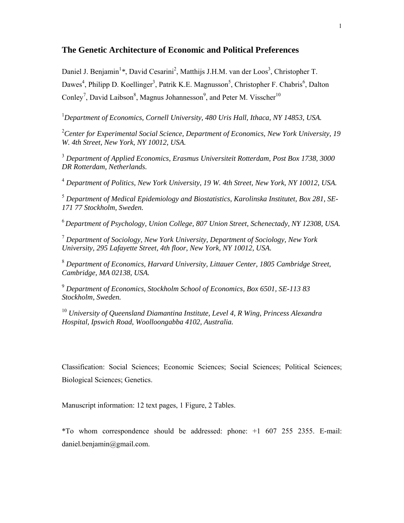# **The Genetic Architecture of Economic and Political Preferences**

Daniel J. Benjamin<sup>1</sup>\*, David Cesarini<sup>2</sup>, Matthijs J.H.M. van der Loos<sup>3</sup>, Christopher T. Dawes<sup>4</sup>, Philipp D. Koellinger<sup>3</sup>, Patrik K.E. Magnusson<sup>5</sup>, Christopher F. Chabris<sup>6</sup>, Dalton Conley<sup>7</sup>, David Laibson<sup>8</sup>, Magnus Johannesson<sup>9</sup>, and Peter M. Visscher<sup>10</sup>

<sup>1</sup>Department of Economics, Cornell University, 480 Uris Hall, Ithaca, NY 14853, USA.

2 *Center for Experimental Social Science, Department of Economics, New York University, 19 W. 4th Street, New York, NY 10012, USA.* 

3  *Department of Applied Economics, Erasmus Universiteit Rotterdam, Post Box 1738, 3000 DR Rotterdam, Netherlands.* 

4  *Department of Politics, New York University, 19 W. 4th Street, New York, NY 10012, USA.* 

5  *Department of Medical Epidemiology and Biostatistics, Karolinska Institutet, Box 281, SE-171 77 Stockholm, Sweden.* 

<sup>6</sup>*Department of Psychology, Union College, 807 Union Street, Schenectady, NY 12308, USA.* 

7  *Department of Sociology, New York University, Department of Sociology, New York University, 295 Lafayette Street, 4th floor, New York, NY 10012, USA.*

8  *Department of Economics, Harvard University, Littauer Center, 1805 Cambridge Street, Cambridge, MA 02138, USA.* 

9  *Department of Economics, Stockholm School of Economics, Box 6501, SE-113 83 Stockholm, Sweden.* 

<sup>10</sup> *University of Queensland Diamantina Institute, Level 4, R Wing, Princess Alexandra Hospital, Ipswich Road, Woolloongabba 4102, Australia.* 

Classification: Social Sciences; Economic Sciences; Social Sciences; Political Sciences; Biological Sciences; Genetics.

Manuscript information: 12 text pages, 1 Figure, 2 Tables.

\*To whom correspondence should be addressed: phone: +1 607 255 2355. E-mail: daniel.benjamin@gmail.com.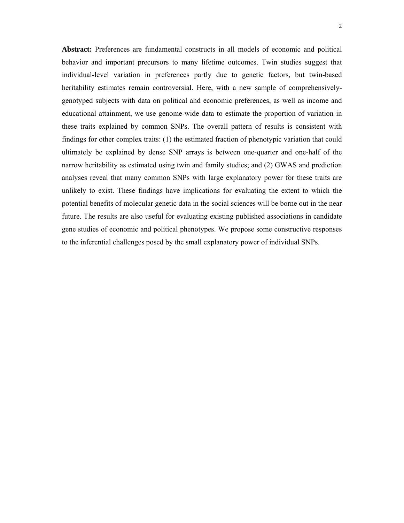**Abstract:** Preferences are fundamental constructs in all models of economic and political behavior and important precursors to many lifetime outcomes. Twin studies suggest that individual-level variation in preferences partly due to genetic factors, but twin-based heritability estimates remain controversial. Here, with a new sample of comprehensivelygenotyped subjects with data on political and economic preferences, as well as income and educational attainment, we use genome-wide data to estimate the proportion of variation in these traits explained by common SNPs. The overall pattern of results is consistent with findings for other complex traits: (1) the estimated fraction of phenotypic variation that could ultimately be explained by dense SNP arrays is between one-quarter and one-half of the narrow heritability as estimated using twin and family studies; and (2) GWAS and prediction analyses reveal that many common SNPs with large explanatory power for these traits are unlikely to exist. These findings have implications for evaluating the extent to which the potential benefits of molecular genetic data in the social sciences will be borne out in the near future. The results are also useful for evaluating existing published associations in candidate gene studies of economic and political phenotypes. We propose some constructive responses to the inferential challenges posed by the small explanatory power of individual SNPs.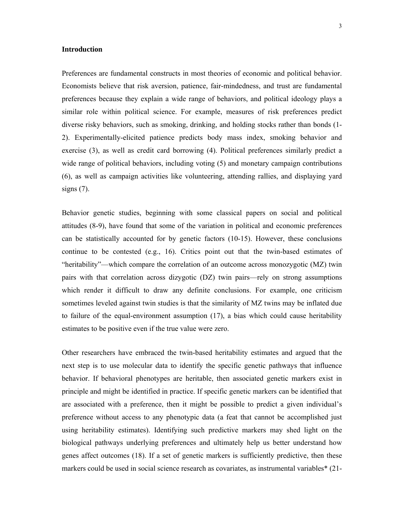#### **Introduction**

Preferences are fundamental constructs in most theories of economic and political behavior. Economists believe that risk aversion, patience, fair-mindedness, and trust are fundamental preferences because they explain a wide range of behaviors, and political ideology plays a similar role within political science. For example, measures of risk preferences predict diverse risky behaviors, such as smoking, drinking, and holding stocks rather than bonds (1- 2). Experimentally-elicited patience predicts body mass index, smoking behavior and exercise (3), as well as credit card borrowing (4). Political preferences similarly predict a wide range of political behaviors, including voting (5) and monetary campaign contributions (6), as well as campaign activities like volunteering, attending rallies, and displaying yard signs  $(7)$ .

Behavior genetic studies, beginning with some classical papers on social and political attitudes (8-9), have found that some of the variation in political and economic preferences can be statistically accounted for by genetic factors (10-15). However, these conclusions continue to be contested (e.g., 16). Critics point out that the twin-based estimates of "heritability"—which compare the correlation of an outcome across monozygotic (MZ) twin pairs with that correlation across dizygotic (DZ) twin pairs—rely on strong assumptions which render it difficult to draw any definite conclusions. For example, one criticism sometimes leveled against twin studies is that the similarity of MZ twins may be inflated due to failure of the equal-environment assumption (17), a bias which could cause heritability estimates to be positive even if the true value were zero.

Other researchers have embraced the twin-based heritability estimates and argued that the next step is to use molecular data to identify the specific genetic pathways that influence behavior. If behavioral phenotypes are heritable, then associated genetic markers exist in principle and might be identified in practice. If specific genetic markers can be identified that are associated with a preference, then it might be possible to predict a given individual's preference without access to any phenotypic data (a feat that cannot be accomplished just using heritability estimates). Identifying such predictive markers may shed light on the biological pathways underlying preferences and ultimately help us better understand how genes affect outcomes (18). If a set of genetic markers is sufficiently predictive, then these markers could be used in social science research as covariates, as instrumental variables\* (21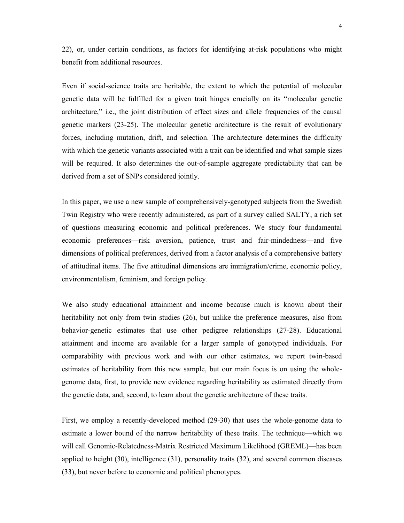22), or, under certain conditions, as factors for identifying at-risk populations who might benefit from additional resources.

Even if social-science traits are heritable, the extent to which the potential of molecular genetic data will be fulfilled for a given trait hinges crucially on its "molecular genetic architecture," i.e., the joint distribution of effect sizes and allele frequencies of the causal genetic markers (23-25). The molecular genetic architecture is the result of evolutionary forces, including mutation, drift, and selection. The architecture determines the difficulty with which the genetic variants associated with a trait can be identified and what sample sizes will be required. It also determines the out-of-sample aggregate predictability that can be derived from a set of SNPs considered jointly.

In this paper, we use a new sample of comprehensively-genotyped subjects from the Swedish Twin Registry who were recently administered, as part of a survey called SALTY, a rich set of questions measuring economic and political preferences. We study four fundamental economic preferences—risk aversion, patience, trust and fair-mindedness—and five dimensions of political preferences, derived from a factor analysis of a comprehensive battery of attitudinal items. The five attitudinal dimensions are immigration/crime, economic policy, environmentalism, feminism, and foreign policy.

We also study educational attainment and income because much is known about their heritability not only from twin studies (26), but unlike the preference measures, also from behavior-genetic estimates that use other pedigree relationships (27-28). Educational attainment and income are available for a larger sample of genotyped individuals. For comparability with previous work and with our other estimates, we report twin-based estimates of heritability from this new sample, but our main focus is on using the wholegenome data, first, to provide new evidence regarding heritability as estimated directly from the genetic data, and, second, to learn about the genetic architecture of these traits.

First, we employ a recently-developed method (29-30) that uses the whole-genome data to estimate a lower bound of the narrow heritability of these traits. The technique—which we will call Genomic-Relatedness-Matrix Restricted Maximum Likelihood (GREML)—has been applied to height (30), intelligence (31), personality traits (32), and several common diseases (33), but never before to economic and political phenotypes.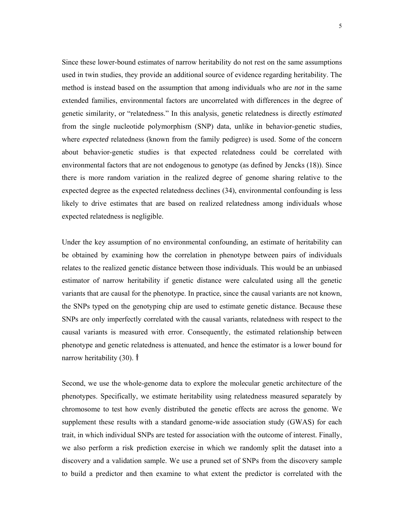Since these lower-bound estimates of narrow heritability do not rest on the same assumptions used in twin studies, they provide an additional source of evidence regarding heritability. The method is instead based on the assumption that among individuals who are *not* in the same extended families, environmental factors are uncorrelated with differences in the degree of genetic similarity, or "relatedness." In this analysis, genetic relatedness is directly *estimated* from the single nucleotide polymorphism (SNP) data, unlike in behavior-genetic studies, where *expected* relatedness (known from the family pedigree) is used. Some of the concern about behavior-genetic studies is that expected relatedness could be correlated with environmental factors that are not endogenous to genotype (as defined by Jencks (18)). Since there is more random variation in the realized degree of genome sharing relative to the expected degree as the expected relatedness declines (34), environmental confounding is less likely to drive estimates that are based on realized relatedness among individuals whose expected relatedness is negligible.

Under the key assumption of no environmental confounding, an estimate of heritability can be obtained by examining how the correlation in phenotype between pairs of individuals relates to the realized genetic distance between those individuals. This would be an unbiased estimator of narrow heritability if genetic distance were calculated using all the genetic variants that are causal for the phenotype. In practice, since the causal variants are not known, the SNPs typed on the genotyping chip are used to estimate genetic distance. Because these SNPs are only imperfectly correlated with the causal variants, relatedness with respect to the causal variants is measured with error. Consequently, the estimated relationship between phenotype and genetic relatedness is attenuated, and hence the estimator is a lower bound for narrow heritability (30). †

Second, we use the whole-genome data to explore the molecular genetic architecture of the phenotypes. Specifically, we estimate heritability using relatedness measured separately by chromosome to test how evenly distributed the genetic effects are across the genome. We supplement these results with a standard genome-wide association study (GWAS) for each trait, in which individual SNPs are tested for association with the outcome of interest. Finally, we also perform a risk prediction exercise in which we randomly split the dataset into a discovery and a validation sample. We use a pruned set of SNPs from the discovery sample to build a predictor and then examine to what extent the predictor is correlated with the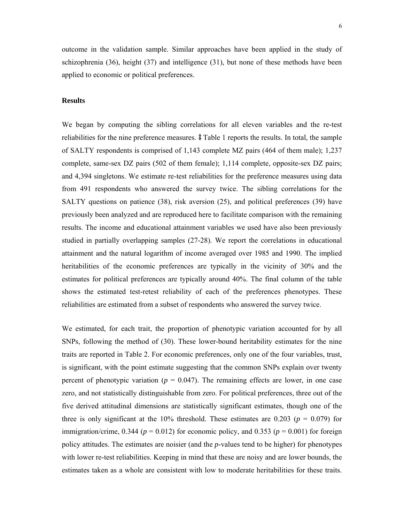outcome in the validation sample. Similar approaches have been applied in the study of schizophrenia (36), height (37) and intelligence (31), but none of these methods have been applied to economic or political preferences.

### **Results**

We began by computing the sibling correlations for all eleven variables and the re-test reliabilities for the nine preference measures.  $\ddagger$  Table 1 reports the results. In total, the sample of SALTY respondents is comprised of 1,143 complete MZ pairs (464 of them male); 1,237 complete, same-sex DZ pairs (502 of them female); 1,114 complete, opposite-sex DZ pairs; and 4,394 singletons. We estimate re-test reliabilities for the preference measures using data from 491 respondents who answered the survey twice. The sibling correlations for the SALTY questions on patience (38), risk aversion (25), and political preferences (39) have previously been analyzed and are reproduced here to facilitate comparison with the remaining results. The income and educational attainment variables we used have also been previously studied in partially overlapping samples (27-28). We report the correlations in educational attainment and the natural logarithm of income averaged over 1985 and 1990. The implied heritabilities of the economic preferences are typically in the vicinity of 30% and the estimates for political preferences are typically around 40%. The final column of the table shows the estimated test-retest reliability of each of the preferences phenotypes. These reliabilities are estimated from a subset of respondents who answered the survey twice.

We estimated, for each trait, the proportion of phenotypic variation accounted for by all SNPs, following the method of (30). These lower-bound heritability estimates for the nine traits are reported in Table 2. For economic preferences, only one of the four variables, trust, is significant, with the point estimate suggesting that the common SNPs explain over twenty percent of phenotypic variation ( $p = 0.047$ ). The remaining effects are lower, in one case zero, and not statistically distinguishable from zero. For political preferences, three out of the five derived attitudinal dimensions are statistically significant estimates, though one of the three is only significant at the 10% threshold. These estimates are 0.203 ( $p = 0.079$ ) for immigration/crime,  $0.344$  ( $p = 0.012$ ) for economic policy, and  $0.353$  ( $p = 0.001$ ) for foreign policy attitudes. The estimates are noisier (and the *p*-values tend to be higher) for phenotypes with lower re-test reliabilities. Keeping in mind that these are noisy and are lower bounds, the estimates taken as a whole are consistent with low to moderate heritabilities for these traits.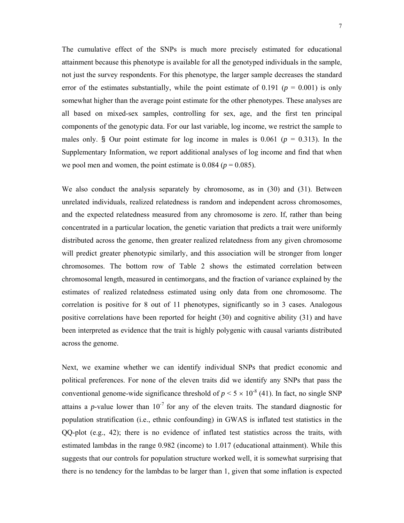The cumulative effect of the SNPs is much more precisely estimated for educational attainment because this phenotype is available for all the genotyped individuals in the sample, not just the survey respondents. For this phenotype, the larger sample decreases the standard error of the estimates substantially, while the point estimate of 0.191 ( $p = 0.001$ ) is only somewhat higher than the average point estimate for the other phenotypes. These analyses are all based on mixed-sex samples, controlling for sex, age, and the first ten principal components of the genotypic data. For our last variable, log income, we restrict the sample to males only. § Our point estimate for log income in males is  $0.061$  ( $p = 0.313$ ). In the Supplementary Information, we report additional analyses of log income and find that when we pool men and women, the point estimate is  $0.084$  ( $p = 0.085$ ).

We also conduct the analysis separately by chromosome, as in  $(30)$  and  $(31)$ . Between unrelated individuals, realized relatedness is random and independent across chromosomes, and the expected relatedness measured from any chromosome is zero. If, rather than being concentrated in a particular location, the genetic variation that predicts a trait were uniformly distributed across the genome, then greater realized relatedness from any given chromosome will predict greater phenotypic similarly, and this association will be stronger from longer chromosomes. The bottom row of Table 2 shows the estimated correlation between chromosomal length, measured in centimorgans, and the fraction of variance explained by the estimates of realized relatedness estimated using only data from one chromosome. The correlation is positive for 8 out of 11 phenotypes, significantly so in 3 cases. Analogous positive correlations have been reported for height (30) and cognitive ability (31) and have been interpreted as evidence that the trait is highly polygenic with causal variants distributed across the genome.

Next, we examine whether we can identify individual SNPs that predict economic and political preferences. For none of the eleven traits did we identify any SNPs that pass the conventional genome-wide significance threshold of  $p < 5 \times 10^{-8}$  (41). In fact, no single SNP attains a *p*-value lower than  $10^{-7}$  for any of the eleven traits. The standard diagnostic for population stratification (i.e., ethnic confounding) in GWAS is inflated test statistics in the QQ-plot (e.g., 42); there is no evidence of inflated test statistics across the traits, with estimated lambdas in the range 0.982 (income) to 1.017 (educational attainment). While this suggests that our controls for population structure worked well, it is somewhat surprising that there is no tendency for the lambdas to be larger than 1, given that some inflation is expected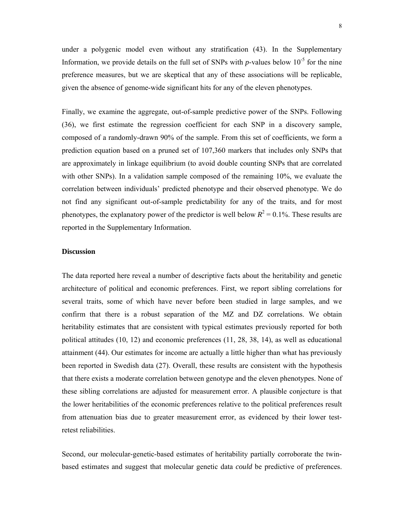under a polygenic model even without any stratification (43). In the Supplementary Information, we provide details on the full set of SNPs with  $p$ -values below  $10^{-5}$  for the nine preference measures, but we are skeptical that any of these associations will be replicable, given the absence of genome-wide significant hits for any of the eleven phenotypes.

Finally, we examine the aggregate, out-of-sample predictive power of the SNPs. Following (36), we first estimate the regression coefficient for each SNP in a discovery sample, composed of a randomly-drawn 90% of the sample. From this set of coefficients, we form a prediction equation based on a pruned set of 107,360 markers that includes only SNPs that are approximately in linkage equilibrium (to avoid double counting SNPs that are correlated with other SNPs). In a validation sample composed of the remaining 10%, we evaluate the correlation between individuals' predicted phenotype and their observed phenotype. We do not find any significant out-of-sample predictability for any of the traits, and for most phenotypes, the explanatory power of the predictor is well below  $R^2 = 0.1\%$ . These results are reported in the Supplementary Information.

## **Discussion**

The data reported here reveal a number of descriptive facts about the heritability and genetic architecture of political and economic preferences. First, we report sibling correlations for several traits, some of which have never before been studied in large samples, and we confirm that there is a robust separation of the MZ and DZ correlations. We obtain heritability estimates that are consistent with typical estimates previously reported for both political attitudes (10, 12) and economic preferences (11, 28, 38, 14), as well as educational attainment (44). Our estimates for income are actually a little higher than what has previously been reported in Swedish data (27). Overall, these results are consistent with the hypothesis that there exists a moderate correlation between genotype and the eleven phenotypes. None of these sibling correlations are adjusted for measurement error. A plausible conjecture is that the lower heritabilities of the economic preferences relative to the political preferences result from attenuation bias due to greater measurement error, as evidenced by their lower testretest reliabilities.

Second, our molecular-genetic-based estimates of heritability partially corroborate the twinbased estimates and suggest that molecular genetic data *could* be predictive of preferences.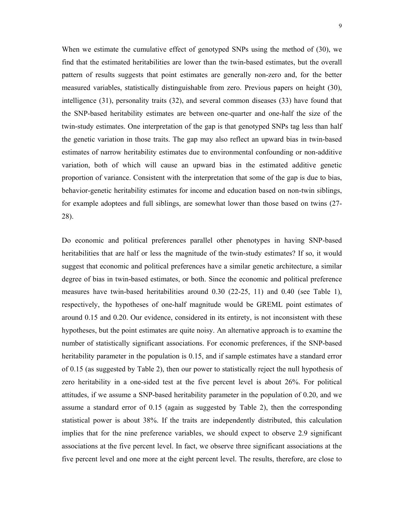When we estimate the cumulative effect of genotyped SNPs using the method of (30), we find that the estimated heritabilities are lower than the twin-based estimates, but the overall pattern of results suggests that point estimates are generally non-zero and, for the better measured variables, statistically distinguishable from zero. Previous papers on height (30), intelligence (31), personality traits (32), and several common diseases (33) have found that the SNP-based heritability estimates are between one-quarter and one-half the size of the twin-study estimates. One interpretation of the gap is that genotyped SNPs tag less than half the genetic variation in those traits. The gap may also reflect an upward bias in twin-based estimates of narrow heritability estimates due to environmental confounding or non-additive variation, both of which will cause an upward bias in the estimated additive genetic proportion of variance. Consistent with the interpretation that some of the gap is due to bias, behavior-genetic heritability estimates for income and education based on non-twin siblings, for example adoptees and full siblings, are somewhat lower than those based on twins (27- 28).

Do economic and political preferences parallel other phenotypes in having SNP-based heritabilities that are half or less the magnitude of the twin-study estimates? If so, it would suggest that economic and political preferences have a similar genetic architecture, a similar degree of bias in twin-based estimates, or both. Since the economic and political preference measures have twin-based heritabilities around 0.30 (22-25, 11) and 0.40 (see Table 1), respectively, the hypotheses of one-half magnitude would be GREML point estimates of around 0.15 and 0.20. Our evidence, considered in its entirety, is not inconsistent with these hypotheses, but the point estimates are quite noisy. An alternative approach is to examine the number of statistically significant associations. For economic preferences, if the SNP-based heritability parameter in the population is 0.15, and if sample estimates have a standard error of 0.15 (as suggested by Table 2), then our power to statistically reject the null hypothesis of zero heritability in a one-sided test at the five percent level is about 26%. For political attitudes, if we assume a SNP-based heritability parameter in the population of 0.20, and we assume a standard error of 0.15 (again as suggested by Table 2), then the corresponding statistical power is about 38%. If the traits are independently distributed, this calculation implies that for the nine preference variables, we should expect to observe 2.9 significant associations at the five percent level. In fact, we observe three significant associations at the five percent level and one more at the eight percent level. The results, therefore, are close to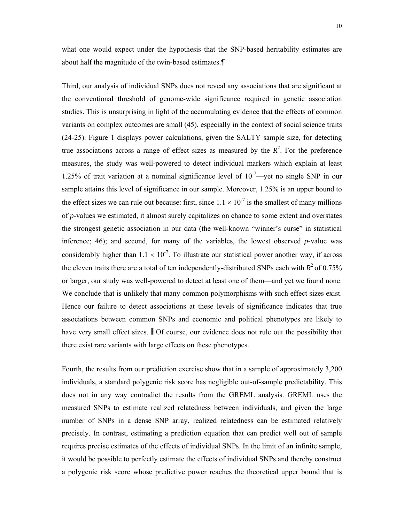what one would expect under the hypothesis that the SNP-based heritability estimates are about half the magnitude of the twin-based estimates.¶

Third, our analysis of individual SNPs does not reveal any associations that are significant at the conventional threshold of genome-wide significance required in genetic association studies. This is unsurprising in light of the accumulating evidence that the effects of common variants on complex outcomes are small (45), especially in the context of social science traits (24-25). Figure 1 displays power calculations, given the SALTY sample size, for detecting true associations across a range of effect sizes as measured by the  $R<sup>2</sup>$ . For the preference measures, the study was well-powered to detect individual markers which explain at least 1.25% of trait variation at a nominal significance level of  $10^{-7}$ —yet no single SNP in our sample attains this level of significance in our sample. Moreover, 1.25% is an upper bound to the effect sizes we can rule out because: first, since  $1.1 \times 10^{-7}$  is the smallest of many millions of *p*-values we estimated, it almost surely capitalizes on chance to some extent and overstates the strongest genetic association in our data (the well-known "winner's curse" in statistical inference; 46); and second, for many of the variables, the lowest observed *p*-value was considerably higher than  $1.1 \times 10^{-7}$ . To illustrate our statistical power another way, if across the eleven traits there are a total of ten independently-distributed SNPs each with  $R^2$  of 0.75% or larger, our study was well-powered to detect at least one of them—and yet we found none. We conclude that is unlikely that many common polymorphisms with such effect sizes exist. Hence our failure to detect associations at these levels of significance indicates that true associations between common SNPs and economic and political phenotypes are likely to have very small effect sizes.  $\parallel$  Of course, our evidence does not rule out the possibility that there exist rare variants with large effects on these phenotypes.

Fourth, the results from our prediction exercise show that in a sample of approximately 3,200 individuals, a standard polygenic risk score has negligible out-of-sample predictability. This does not in any way contradict the results from the GREML analysis. GREML uses the measured SNPs to estimate realized relatedness between individuals, and given the large number of SNPs in a dense SNP array, realized relatedness can be estimated relatively precisely. In contrast, estimating a prediction equation that can predict well out of sample requires precise estimates of the effects of individual SNPs. In the limit of an infinite sample, it would be possible to perfectly estimate the effects of individual SNPs and thereby construct a polygenic risk score whose predictive power reaches the theoretical upper bound that is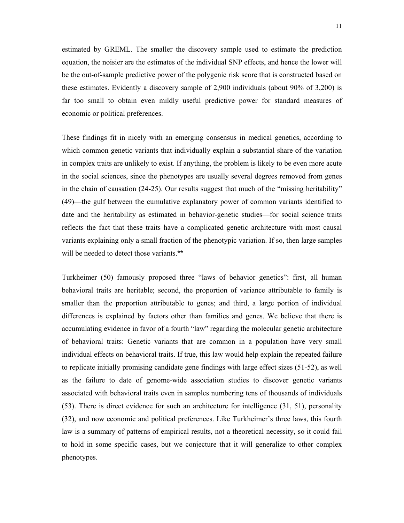estimated by GREML. The smaller the discovery sample used to estimate the prediction equation, the noisier are the estimates of the individual SNP effects, and hence the lower will be the out-of-sample predictive power of the polygenic risk score that is constructed based on these estimates. Evidently a discovery sample of 2,900 individuals (about 90% of 3,200) is far too small to obtain even mildly useful predictive power for standard measures of economic or political preferences.

These findings fit in nicely with an emerging consensus in medical genetics, according to which common genetic variants that individually explain a substantial share of the variation in complex traits are unlikely to exist. If anything, the problem is likely to be even more acute in the social sciences, since the phenotypes are usually several degrees removed from genes in the chain of causation (24-25). Our results suggest that much of the "missing heritability" (49)—the gulf between the cumulative explanatory power of common variants identified to date and the heritability as estimated in behavior-genetic studies—for social science traits reflects the fact that these traits have a complicated genetic architecture with most causal variants explaining only a small fraction of the phenotypic variation. If so, then large samples will be needed to detect those variants.\*\*

Turkheimer (50) famously proposed three "laws of behavior genetics": first, all human behavioral traits are heritable; second, the proportion of variance attributable to family is smaller than the proportion attributable to genes; and third, a large portion of individual differences is explained by factors other than families and genes. We believe that there is accumulating evidence in favor of a fourth "law" regarding the molecular genetic architecture of behavioral traits: Genetic variants that are common in a population have very small individual effects on behavioral traits. If true, this law would help explain the repeated failure to replicate initially promising candidate gene findings with large effect sizes (51-52), as well as the failure to date of genome-wide association studies to discover genetic variants associated with behavioral traits even in samples numbering tens of thousands of individuals (53). There is direct evidence for such an architecture for intelligence (31, 51), personality (32), and now economic and political preferences. Like Turkheimer's three laws, this fourth law is a summary of patterns of empirical results, not a theoretical necessity, so it could fail to hold in some specific cases, but we conjecture that it will generalize to other complex phenotypes.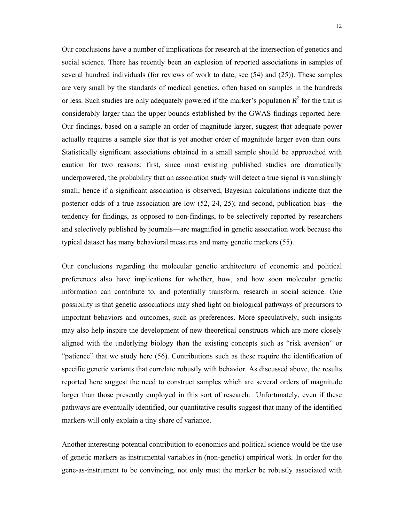Our conclusions have a number of implications for research at the intersection of genetics and social science. There has recently been an explosion of reported associations in samples of several hundred individuals (for reviews of work to date, see (54) and (25)). These samples are very small by the standards of medical genetics, often based on samples in the hundreds or less. Such studies are only adequately powered if the marker's population  $R^2$  for the trait is considerably larger than the upper bounds established by the GWAS findings reported here. Our findings, based on a sample an order of magnitude larger, suggest that adequate power actually requires a sample size that is yet another order of magnitude larger even than ours. Statistically significant associations obtained in a small sample should be approached with caution for two reasons: first, since most existing published studies are dramatically underpowered, the probability that an association study will detect a true signal is vanishingly small; hence if a significant association is observed, Bayesian calculations indicate that the posterior odds of a true association are low (52, 24, 25); and second, publication bias—the tendency for findings, as opposed to non-findings, to be selectively reported by researchers and selectively published by journals—are magnified in genetic association work because the typical dataset has many behavioral measures and many genetic markers (55).

Our conclusions regarding the molecular genetic architecture of economic and political preferences also have implications for whether, how, and how soon molecular genetic information can contribute to, and potentially transform, research in social science. One possibility is that genetic associations may shed light on biological pathways of precursors to important behaviors and outcomes, such as preferences. More speculatively, such insights may also help inspire the development of new theoretical constructs which are more closely aligned with the underlying biology than the existing concepts such as "risk aversion" or "patience" that we study here (56). Contributions such as these require the identification of specific genetic variants that correlate robustly with behavior. As discussed above, the results reported here suggest the need to construct samples which are several orders of magnitude larger than those presently employed in this sort of research. Unfortunately, even if these pathways are eventually identified, our quantitative results suggest that many of the identified markers will only explain a tiny share of variance.

Another interesting potential contribution to economics and political science would be the use of genetic markers as instrumental variables in (non-genetic) empirical work. In order for the gene-as-instrument to be convincing, not only must the marker be robustly associated with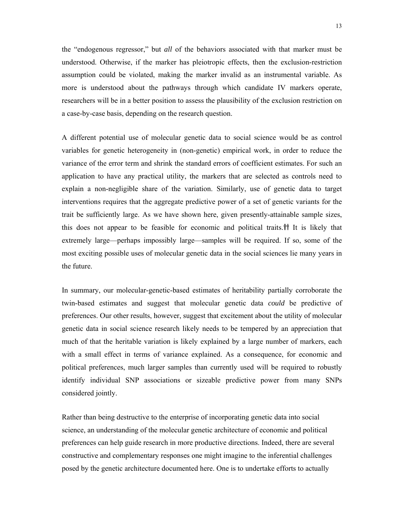the "endogenous regressor," but *all* of the behaviors associated with that marker must be understood. Otherwise, if the marker has pleiotropic effects, then the exclusion-restriction assumption could be violated, making the marker invalid as an instrumental variable. As more is understood about the pathways through which candidate IV markers operate, researchers will be in a better position to assess the plausibility of the exclusion restriction on a case-by-case basis, depending on the research question.

A different potential use of molecular genetic data to social science would be as control variables for genetic heterogeneity in (non-genetic) empirical work, in order to reduce the variance of the error term and shrink the standard errors of coefficient estimates. For such an application to have any practical utility, the markers that are selected as controls need to explain a non-negligible share of the variation. Similarly, use of genetic data to target interventions requires that the aggregate predictive power of a set of genetic variants for the trait be sufficiently large. As we have shown here, given presently-attainable sample sizes, this does not appear to be feasible for economic and political traits. It is likely that extremely large—perhaps impossibly large—samples will be required. If so, some of the most exciting possible uses of molecular genetic data in the social sciences lie many years in the future.

In summary, our molecular-genetic-based estimates of heritability partially corroborate the twin-based estimates and suggest that molecular genetic data *could* be predictive of preferences. Our other results, however, suggest that excitement about the utility of molecular genetic data in social science research likely needs to be tempered by an appreciation that much of that the heritable variation is likely explained by a large number of markers, each with a small effect in terms of variance explained. As a consequence, for economic and political preferences, much larger samples than currently used will be required to robustly identify individual SNP associations or sizeable predictive power from many SNPs considered jointly.

Rather than being destructive to the enterprise of incorporating genetic data into social science, an understanding of the molecular genetic architecture of economic and political preferences can help guide research in more productive directions. Indeed, there are several constructive and complementary responses one might imagine to the inferential challenges posed by the genetic architecture documented here. One is to undertake efforts to actually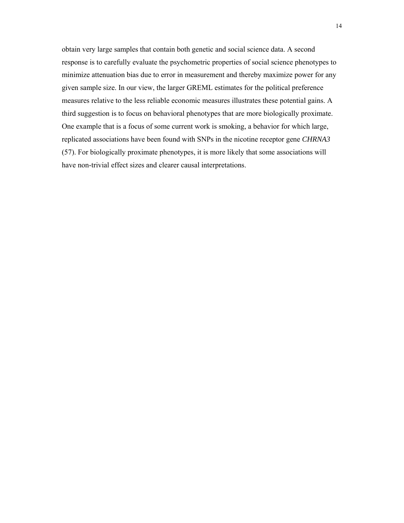obtain very large samples that contain both genetic and social science data. A second response is to carefully evaluate the psychometric properties of social science phenotypes to minimize attenuation bias due to error in measurement and thereby maximize power for any given sample size. In our view, the larger GREML estimates for the political preference measures relative to the less reliable economic measures illustrates these potential gains. A third suggestion is to focus on behavioral phenotypes that are more biologically proximate. One example that is a focus of some current work is smoking, a behavior for which large, replicated associations have been found with SNPs in the nicotine receptor gene *CHRNA3* (57). For biologically proximate phenotypes, it is more likely that some associations will have non-trivial effect sizes and clearer causal interpretations.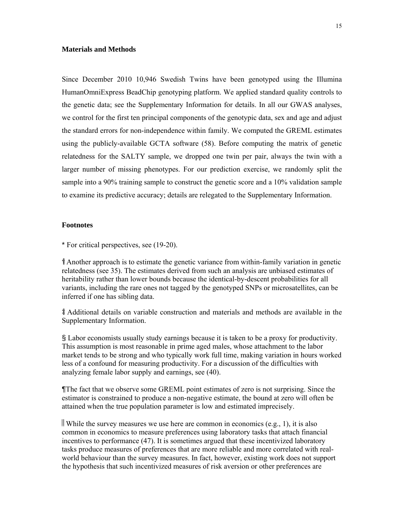#### **Materials and Methods**

Since December 2010 10,946 Swedish Twins have been genotyped using the Illumina HumanOmniExpress BeadChip genotyping platform. We applied standard quality controls to the genetic data; see the Supplementary Information for details. In all our GWAS analyses, we control for the first ten principal components of the genotypic data, sex and age and adjust the standard errors for non-independence within family. We computed the GREML estimates using the publicly-available GCTA software (58). Before computing the matrix of genetic relatedness for the SALTY sample, we dropped one twin per pair, always the twin with a larger number of missing phenotypes. For our prediction exercise, we randomly split the sample into a 90% training sample to construct the genetic score and a 10% validation sample to examine its predictive accuracy; details are relegated to the Supplementary Information.

## **Footnotes**

\* For critical perspectives, see (19-20).

 Another approach is to estimate the genetic variance from within-family variation in genetic relatedness (see 35). The estimates derived from such an analysis are unbiased estimates of heritability rather than lower bounds because the identical-by-descent probabilities for all variants, including the rare ones not tagged by the genotyped SNPs or microsatellites, can be inferred if one has sibling data.

 Additional details on variable construction and materials and methods are available in the Supplementary Information.

§ Labor economists usually study earnings because it is taken to be a proxy for productivity. This assumption is most reasonable in prime aged males, whose attachment to the labor market tends to be strong and who typically work full time, making variation in hours worked less of a confound for measuring productivity. For a discussion of the difficulties with analyzing female labor supply and earnings, see (40).

¶The fact that we observe some GREML point estimates of zero is not surprising. Since the estimator is constrained to produce a non-negative estimate, the bound at zero will often be attained when the true population parameter is low and estimated imprecisely.

 While the survey measures we use here are common in economics (e.g., 1), it is also common in economics to measure preferences using laboratory tasks that attach financial incentives to performance (47). It is sometimes argued that these incentivized laboratory tasks produce measures of preferences that are more reliable and more correlated with realworld behaviour than the survey measures. In fact, however, existing work does not support the hypothesis that such incentivized measures of risk aversion or other preferences are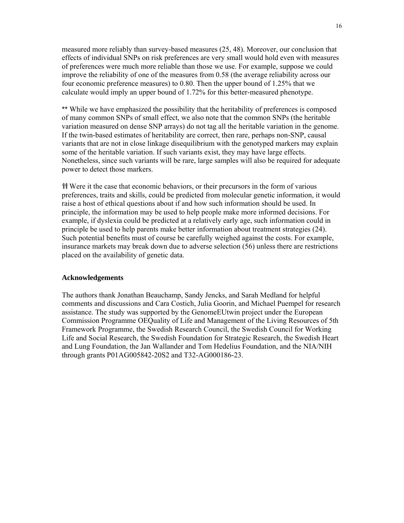measured more reliably than survey-based measures (25, 48). Moreover, our conclusion that effects of individual SNPs on risk preferences are very small would hold even with measures of preferences were much more reliable than those we use. For example, suppose we could improve the reliability of one of the measures from 0.58 (the average reliability across our four economic preference measures) to 0.80. Then the upper bound of 1.25% that we calculate would imply an upper bound of 1.72% for this better-measured phenotype.

\*\* While we have emphasized the possibility that the heritability of preferences is composed of many common SNPs of small effect, we also note that the common SNPs (the heritable variation measured on dense SNP arrays) do not tag all the heritable variation in the genome. If the twin-based estimates of heritability are correct, then rare, perhaps non-SNP, causal variants that are not in close linkage disequilibrium with the genotyped markers may explain some of the heritable variation. If such variants exist, they may have large effects. Nonetheless, since such variants will be rare, large samples will also be required for adequate power to detect those markers.

 Were it the case that economic behaviors, or their precursors in the form of various preferences, traits and skills, could be predicted from molecular genetic information, it would raise a host of ethical questions about if and how such information should be used. In principle, the information may be used to help people make more informed decisions. For example, if dyslexia could be predicted at a relatively early age, such information could in principle be used to help parents make better information about treatment strategies (24). Such potential benefits must of course be carefully weighed against the costs. For example, insurance markets may break down due to adverse selection (56) unless there are restrictions placed on the availability of genetic data.

#### **Acknowledgements**

The authors thank Jonathan Beauchamp, Sandy Jencks, and Sarah Medland for helpful comments and discussions and Cara Costich, Julia Goorin, and Michael Puempel for research assistance. The study was supported by the GenomeEUtwin project under the European Commission Programme OEQuality of Life and Management of the Living Resources of 5th Framework Programme, the Swedish Research Council, the Swedish Council for Working Life and Social Research, the Swedish Foundation for Strategic Research, the Swedish Heart and Lung Foundation, the Jan Wallander and Tom Hedelius Foundation, and the NIA/NIH through grants P01AG005842-20S2 and T32-AG000186-23.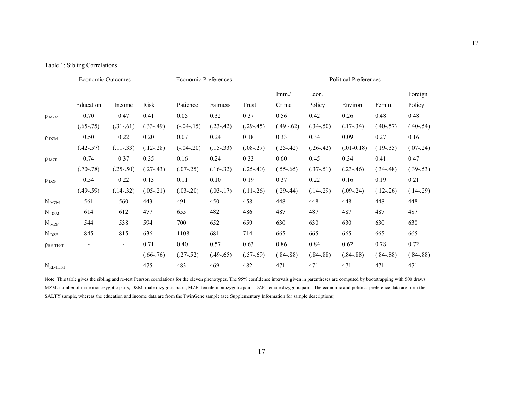|  |  |  |  |  | Table 1: Sibling Correlations |
|--|--|--|--|--|-------------------------------|
|--|--|--|--|--|-------------------------------|

|                      | Economic Outcomes        |                |             | <b>Economic Preferences</b> |             |             | <b>Political Preferences</b> |             |              |             |             |
|----------------------|--------------------------|----------------|-------------|-----------------------------|-------------|-------------|------------------------------|-------------|--------------|-------------|-------------|
|                      |                          |                |             |                             |             |             | Imm. /                       | Econ.       |              |             | Foreign     |
|                      | Education                | Income         | Risk        | Patience                    | Fairness    | Trust       | Crime                        | Policy      | Environ.     | Femin.      | Policy      |
| $\rho_{MZM}$         | 0.70                     | 0.47           | 0.41        | 0.05                        | 0.32        | 0.37        | 0.56                         | 0.42        | 0.26         | 0.48        | 0.48        |
|                      | $(.65-.75)$              | $(.31-.61)$    | $(.33-.49)$ | $(-.04 - .15)$              | $(.23-.42)$ | $(.29-.45)$ | $(.49-.62)$                  | $(.34-.50)$ | $(.17-.34)$  | $(.40-.57)$ | $(.40-.54)$ |
| $\rho_{DZM}$         | 0.50                     | 0.22           | 0.20        | 0.07                        | 0.24        | 0.18        | 0.33                         | 0.34        | 0.09         | 0.27        | 0.16        |
|                      | $(.42-.57)$              | $(.11-.33)$    | $(.12-.28)$ | $(-.04 - .20)$              | $(.15-.33)$ | $(.08-.27)$ | $(.25-.42)$                  | $(.26-.42)$ | $(.01-0.18)$ | $(.19-.35)$ | $(.07-.24)$ |
| $\rho_{MZF}$         | 0.74                     | 0.37           | 0.35        | 0.16                        | 0.24        | 0.33        | 0.60                         | 0.45        | 0.34         | 0.41        | 0.47        |
|                      | $(.70-.78)$              | $(.25-.50)$    | $(.27-.43)$ | $(.07-.25)$                 | $(.16-.32)$ | $(.25-.40)$ | $(.55-.65)$                  | $(.37-.51)$ | $(.23-.46)$  | $(.34-.48)$ | $(.39-.53)$ |
| $\rho_{\text{ DZF}}$ | 0.54                     | 0.22           | 0.13        | 0.11                        | 0.10        | 0.19        | 0.37                         | 0.22        | 0.16         | 0.19        | 0.21        |
|                      | $(.49-.59)$              | $(.14-.32)$    | $(.05-.21)$ | $(.03-.20)$                 | $(.03-.17)$ | $(.11-.26)$ | $(.29-.44)$                  | $(.14-.29)$ | $(.09-.24)$  | $(.12-.26)$ | $(.14-.29)$ |
| $N_{\text{MZM}}$     | 561                      | 560            | 443         | 491                         | 450         | 458         | 448                          | 448         | 448          | 448         | 448         |
| $N_{DZM}$            | 614                      | 612            | 477         | 655                         | 482         | 486         | 487                          | 487         | 487          | 487         | 487         |
| $N_{MZF}$            | 544                      | 538            | 594         | 700                         | 652         | 659         | 630                          | 630         | 630          | 630         | 630         |
| $N_{\text{DZF}}$     | 845                      | 815            | 636         | 1108                        | 681         | 714         | 665                          | 665         | 665          | 665         | 665         |
| $\rho$ RE-TEST       | $\overline{\phantom{0}}$ | $\blacksquare$ | 0.71        | 0.40                        | 0.57        | 0.63        | 0.86                         | 0.84        | 0.62         | 0.78        | 0.72        |
|                      |                          |                | $(.66-.76)$ | $(.27-.52)$                 | $(.49-.65)$ | $(.57-.69)$ | $(.84-.88)$                  | $(.84-.88)$ | $(.84-.88)$  | $(.84-.88)$ | $(.84-.88)$ |
| $N_{\text{RE-TEST}}$ |                          |                | 475         | 483                         | 469         | 482         | 471                          | 471         | 471          | 471         | 471         |

Note: This table gives the sibling and re-test Pearson correlations for the eleven phenotypes. The 95% confidence intervals given in parentheses are computed by bootstrapping with 500 draws. MZM: number of male monozygotic pairs; DZM: male dizygotic pairs; MZF: female monozygotic pairs; DZF: female dizygotic pairs. The economic and political preference data are from the SALTY sample, whereas the education and income data are from the TwinGene sample (see Supplementary Information for sample descriptions).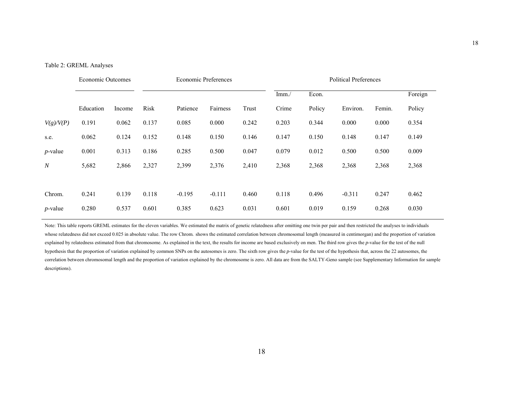#### Table 2: GREML Analyses

|                  | <b>Economic Outcomes</b> |        |       | Economic Preferences |          |       | <b>Political Preferences</b> |        |          |        |         |
|------------------|--------------------------|--------|-------|----------------------|----------|-------|------------------------------|--------|----------|--------|---------|
|                  |                          |        |       |                      |          |       | Imm/                         | Econ.  |          |        | Foreign |
|                  | Education                | Income | Risk  | Patience             | Fairness | Trust | Crime                        | Policy | Environ. | Femin. | Policy  |
| V(g)/V(P)        | 0.191                    | 0.062  | 0.137 | 0.085                | 0.000    | 0.242 | 0.203                        | 0.344  | 0.000    | 0.000  | 0.354   |
| s.e.             | 0.062                    | 0.124  | 0.152 | 0.148                | 0.150    | 0.146 | 0.147                        | 0.150  | 0.148    | 0.147  | 0.149   |
| $p$ -value       | 0.001                    | 0.313  | 0.186 | 0.285                | 0.500    | 0.047 | 0.079                        | 0.012  | 0.500    | 0.500  | 0.009   |
| $\boldsymbol{N}$ | 5,682                    | 2,866  | 2,327 | 2,399                | 2,376    | 2,410 | 2,368                        | 2,368  | 2,368    | 2,368  | 2,368   |
|                  |                          |        |       |                      |          |       |                              |        |          |        |         |
| Chrom.           | 0.241                    | 0.139  | 0.118 | $-0.195$             | $-0.111$ | 0.460 | 0.118                        | 0.496  | $-0.311$ | 0.247  | 0.462   |
| <i>p</i> -value  | 0.280                    | 0.537  | 0.601 | 0.385                | 0.623    | 0.031 | 0.601                        | 0.019  | 0.159    | 0.268  | 0.030   |

Note: This table reports GREML estimates for the eleven variables. We estimated the matrix of genetic relatedness after omitting one twin per pair and then restricted the analyses to individuals whose relatedness did not exceed 0.025 in absolute value. The row Chrom. shows the estimated correlation between chromosomal length (measured in centimorgan) and the proportion of variation explained by relatedness estimated from that chromosome. As explained in the text, the results for income are based exclusively on men. The third row gives the *p*-value for the test of the null hypothesis that the proportion of variation explained by common SNPs on the autosomes is zero. The sixth row gives the *p*-value for the test of the hypothesis that, across the 22 autosomes, the correlation between chromosomal length and the proportion of variation explained by the chromosome is zero. All data are from the SALTY-Geno sample (see Supplementary Information for sample descriptions).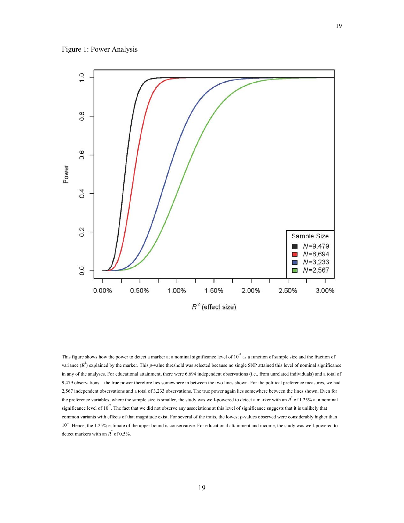

This figure shows how the power to detect a marker at a nominal significance level of  $10^{-7}$  as a function of sample size and the fraction of variance  $(R^2)$  explained by the marker. This *p*-value threshold was selected because no single SNP attained this level of nominal significance in any of the analyses. For educational attainment, there were 6,694 independent observations (i.e., from unrelated individuals) and a total of 9,479 observations – the true power therefore lies somewhere in between the two lines shown. For the political preference measures, we had 2,567 independent observations and a total of 3,233 observations. The true power again lies somewhere between the lines shown. Even for the preference variables, where the sample size is smaller, the study was well-powered to detect a marker with an  $R^2$  of 1.25% at a nominal significance level of 10 $^7$ . The fact that we did not observe any associations at this level of significance suggests that it is unlikely that common variants with effects of that magnitude exist. For several of the traits, the lowest *p*-values observed were considerably higher than 10<sup>-7</sup>. Hence, the 1.25% estimate of the upper bound is conservative. For educational attainment and income, the study was well-powered to detect markers with an  $R^2$  of 0.5%.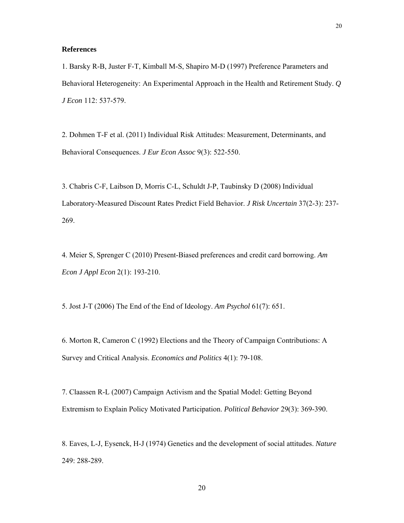### **References**

1. Barsky R-B, Juster F-T, Kimball M-S, Shapiro M-D (1997) Preference Parameters and Behavioral Heterogeneity: An Experimental Approach in the Health and Retirement Study. *Q J Econ* 112: 537-579.

2. Dohmen T-F et al. (2011) Individual Risk Attitudes: Measurement, Determinants, and Behavioral Consequences. *J Eur Econ Assoc* 9(3): 522-550.

3. Chabris C-F, Laibson D, Morris C-L, Schuldt J-P, Taubinsky D (2008) Individual Laboratory-Measured Discount Rates Predict Field Behavior. *J Risk Uncertain* 37(2-3): 237- 269.

4. Meier S, Sprenger C (2010) Present-Biased preferences and credit card borrowing. *Am Econ J Appl Econ* 2(1): 193-210.

5. Jost J-T (2006) The End of the End of Ideology. *Am Psychol* 61(7): 651.

6. Morton R, Cameron C (1992) Elections and the Theory of Campaign Contributions: A Survey and Critical Analysis. *Economics and Politics* 4(1): 79-108.

7. Claassen R-L (2007) Campaign Activism and the Spatial Model: Getting Beyond Extremism to Explain Policy Motivated Participation. *Political Behavior* 29(3): 369-390.

8. Eaves, L-J, Eysenck, H-J (1974) Genetics and the development of social attitudes. *Nature* 249: 288-289.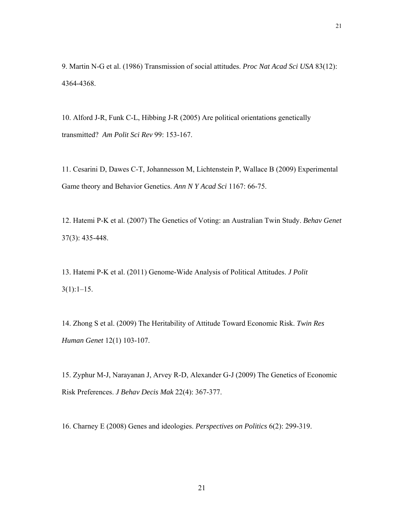9. Martin N-G et al. (1986) Transmission of social attitudes. *Proc Nat Acad Sci USA* 83(12): 4364-4368.

10. Alford J-R, Funk C-L, Hibbing J-R (2005) Are political orientations genetically transmitted? *Am Polit Sci Rev* 99: 153-167.

11. Cesarini D, Dawes C-T, Johannesson M, Lichtenstein P, Wallace B (2009) Experimental Game theory and Behavior Genetics. *Ann N Y Acad Sci* 1167: 66-75.

12. Hatemi P-K et al. (2007) The Genetics of Voting: an Australian Twin Study. *Behav Genet*  37(3): 435-448.

13. Hatemi P-K et al. (2011) Genome-Wide Analysis of Political Attitudes. *J Polit*  $3(1):1-15.$ 

14. Zhong S et al. (2009) The Heritability of Attitude Toward Economic Risk. *Twin Res Human Genet* 12(1) 103-107.

15. Zyphur M-J, Narayanan J, Arvey R-D, Alexander G-J (2009) The Genetics of Economic Risk Preferences. *J Behav Decis Mak* 22(4): 367-377.

16. Charney E (2008) Genes and ideologies. *Perspectives on Politics* 6(2): 299-319.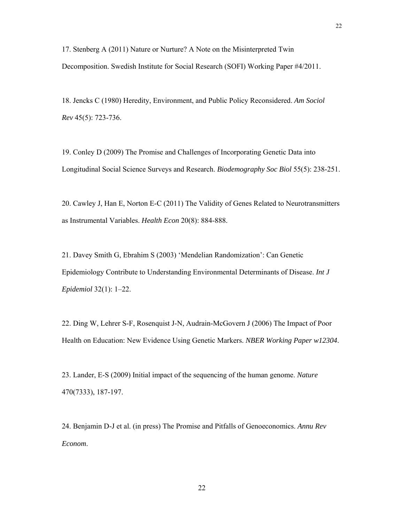17. Stenberg A (2011) Nature or Nurture? A Note on the Misinterpreted Twin Decomposition. Swedish Institute for Social Research (SOFI) Working Paper #4/2011.

18. Jencks C (1980) Heredity, Environment, and Public Policy Reconsidered. *Am Sociol Rev* 45(5): 723-736.

19. Conley D (2009) The Promise and Challenges of Incorporating Genetic Data into Longitudinal Social Science Surveys and Research. *Biodemography Soc Biol* 55(5): 238-251.

20. Cawley J, Han E, Norton E-C (2011) The Validity of Genes Related to Neurotransmitters as Instrumental Variables. *Health Econ* 20(8): 884-888.

21. Davey Smith G, Ebrahim S (2003) 'Mendelian Randomization': Can Genetic Epidemiology Contribute to Understanding Environmental Determinants of Disease. *Int J Epidemiol* 32(1): 1–22.

22. Ding W, Lehrer S-F, Rosenquist J-N, Audrain-McGovern J (2006) The Impact of Poor Health on Education: New Evidence Using Genetic Markers. *NBER Working Paper w12304*.

23. Lander, E-S (2009) Initial impact of the sequencing of the human genome. *Nature* 470(7333), 187-197.

24. Benjamin D-J et al. (in press) The Promise and Pitfalls of Genoeconomics. *Annu Rev Econom*.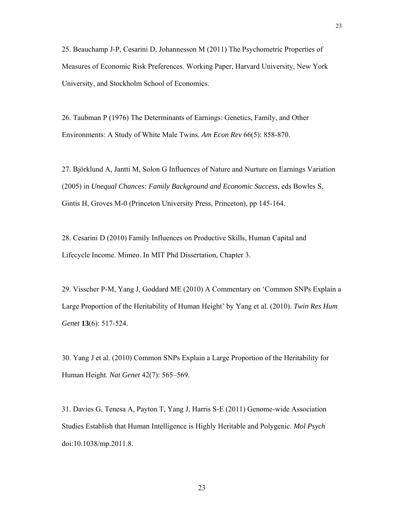26. Taubman P (1976) The Determinants of Earnings: Genetics, Family, and Other Environments: A Study of White Male Twins. *Am Econ Rev* 66(5): 858-870.

27. Björklund A, Jantti M, Solon G Influences of Nature and Nurture on Earnings Variation (2005) in *Unequal Chances: Family Background and Economic Success,* eds Bowles S, Gintis H, Groves M-0 (Princeton University Press, Princeton), pp 145-164.

28. Cesarini D (2010) Family Influences on Productive Skills, Human Capital and Lifecycle Income. Mimeo. In MIT Phd Dissertation, Chapter 3.

29. Visscher P-M, Yang J, Goddard ME (2010) A Commentary on 'Common SNPs Explain a Large Proportion of the Heritability of Human Height' by Yang et al. (2010). *Twin Res Hum Genet* **13**(6): 517-524.

30. Yang J et al. (2010) Common SNPs Explain a Large Proportion of the Heritability for Human Height. *Nat Genet* 42(7): 565–569.

31. Davies G, Tenesa A, Payton T, Yang J, Harris S-E (2011) Genome-wide Association Studies Establish that Human Intelligence is Highly Heritable and Polygenic. *Mol Psych* doi:10.1038/mp.2011.8.

23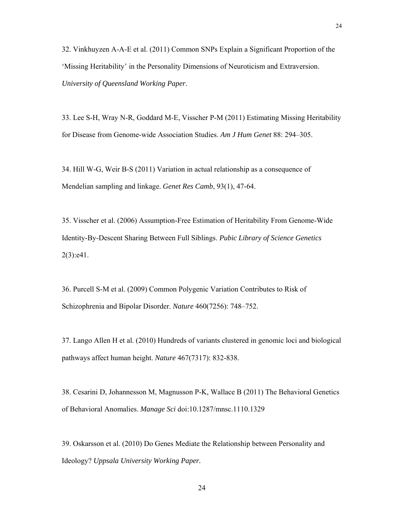32. Vinkhuyzen A-A-E et al. (2011) Common SNPs Explain a Significant Proportion of the 'Missing Heritability' in the Personality Dimensions of Neuroticism and Extraversion. *University of Queensland Working Paper*.

33. Lee S-H, Wray N-R, Goddard M-E, Visscher P-M (2011) Estimating Missing Heritability for Disease from Genome-wide Association Studies. *Am J Hum Genet* 88: 294–305.

34. Hill W-G, Weir B-S (2011) Variation in actual relationship as a consequence of Mendelian sampling and linkage. *Genet Res Camb*, 93(1), 47-64.

35. Visscher et al. (2006) Assumption-Free Estimation of Heritability From Genome-Wide Identity-By-Descent Sharing Between Full Siblings. *Pubic Library of Science Genetics*  2(3):e41.

36. Purcell S-M et al. (2009) Common Polygenic Variation Contributes to Risk of Schizophrenia and Bipolar Disorder. *Nature* 460(7256): 748–752.

37. Lango Allen H et al. (2010) Hundreds of variants clustered in genomic loci and biological pathways affect human height. *Nature* 467(7317): 832-838.

38. Cesarini D, Johannesson M, Magnusson P-K, Wallace B (2011) The Behavioral Genetics of Behavioral Anomalies. *Manage Sci* doi:10.1287/mnsc.1110.1329

39. Oskarsson et al. (2010) Do Genes Mediate the Relationship between Personality and Ideology? *Uppsala University Working Paper.*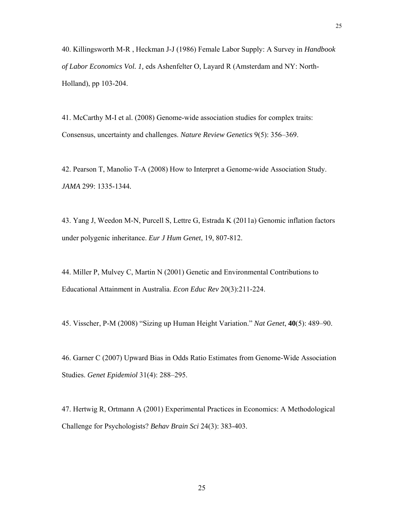40. Killingsworth M-R , Heckman J-J (1986) Female Labor Supply: A Survey in *Handbook of Labor Economics Vol. 1,* eds Ashenfelter O, Layard R (Amsterdam and NY: North-Holland), pp 103-204.

41. McCarthy M-I et al. (2008) Genome-wide association studies for complex traits: Consensus, uncertainty and challenges. *Nature Review Genetics* 9(5): 356–369.

42. Pearson T, Manolio T-A (2008) How to Interpret a Genome-wide Association Study. *JAMA* 299: 1335-1344*.*

43. Yang J, Weedon M-N, Purcell S, Lettre G, Estrada K (2011a) Genomic inflation factors under polygenic inheritance. *Eur J Hum Genet*, 19, 807-812.

44. Miller P, Mulvey C, Martin N (2001) Genetic and Environmental Contributions to Educational Attainment in Australia. *Econ Educ Rev* 20(3):211-224.

45. Visscher, P-M (2008) "Sizing up Human Height Variation." *Nat Genet*, **40**(5): 489–90.

46. Garner C (2007) Upward Bias in Odds Ratio Estimates from Genome-Wide Association Studies. *Genet Epidemiol* 31(4): 288–295.

47. Hertwig R, Ortmann A (2001) Experimental Practices in Economics: A Methodological Challenge for Psychologists? *Behav Brain Sci* 24(3): 383-403.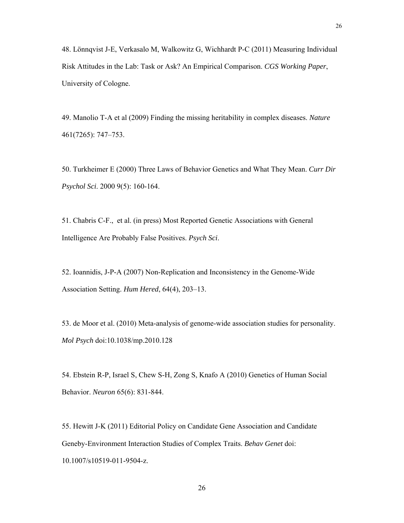48. Lönnqvist J-E, Verkasalo M, Walkowitz G, Wichhardt P-C (2011) Measuring Individual Risk Attitudes in the Lab: Task or Ask? An Empirical Comparison. *CGS Working Paper*, University of Cologne.

49. Manolio T-A et al (2009) Finding the missing heritability in complex diseases. *Nature* 461(7265): 747–753.

50. Turkheimer E (2000) Three Laws of Behavior Genetics and What They Mean. *Curr Dir Psychol Sci*. 2000 9(5): 160-164.

51. Chabris C-F., et al. (in press) Most Reported Genetic Associations with General Intelligence Are Probably False Positives. *Psych Sci*.

52. Ioannidis, J-P-A (2007) Non-Replication and Inconsistency in the Genome-Wide Association Setting. *Hum Hered*, 64(4), 203–13.

53. de Moor et al. (2010) Meta-analysis of genome-wide association studies for personality. *Mol Psych* doi:10.1038/mp.2010.128

54. Ebstein R-P, Israel S, Chew S-H, Zong S, Knafo A (2010) Genetics of Human Social Behavior. *Neuron* 65(6): 831-844.

55. Hewitt J-K (2011) Editorial Policy on Candidate Gene Association and Candidate Geneby-Environment Interaction Studies of Complex Traits. *Behav Genet* doi: 10.1007/s10519-011-9504-z.